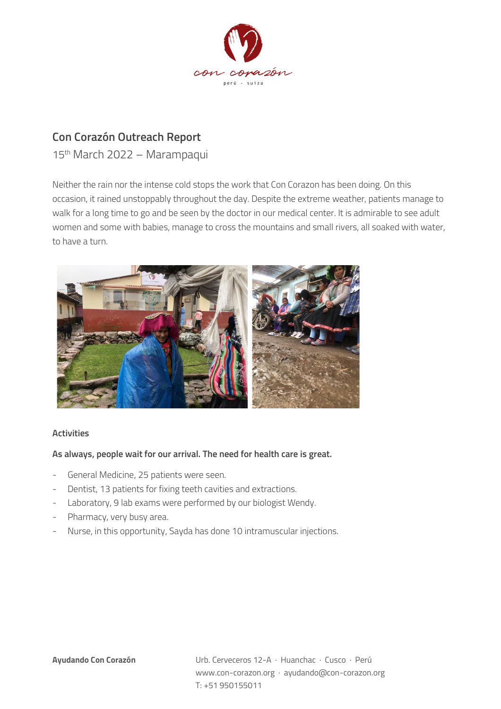

## **Con Corazón Outreach Report**

15th March 2022 – Marampaqui

Neither the rain nor the intense cold stops the work that Con Corazon has been doing. On this occasion, it rained unstoppably throughout the day. Despite the extreme weather, patients manage to walk for a long time to go and be seen by the doctor in our medical center. It is admirable to see adult women and some with babies, manage to cross the mountains and small rivers, all soaked with water, to have a turn.



## **Activities**

## **As always, people wait for our arrival. The need for health care is great.**

- General Medicine, 25 patients were seen.
- Dentist, 13 patients for fixing teeth cavities and extractions.
- Laboratory, 9 lab exams were performed by our biologist Wendy.
- Pharmacy, very busy area.
- Nurse, in this opportunity, Sayda has done 10 intramuscular injections.